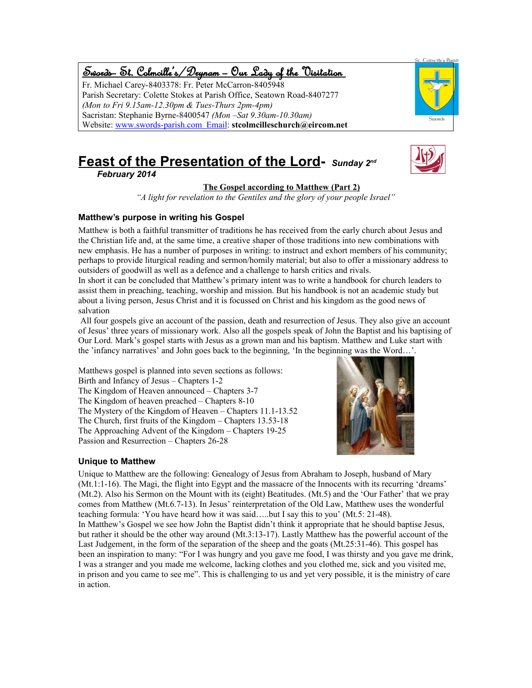# Swords – St. Colmcille's /Drynam – Our Lady of the Visitation

Fr. Michael Carey-8403378: Fr. Peter McCarron-8405948 Parish Secretary: Colette Stokes at Parish Office, Seatown Road-8407277 *(Mon to Fri 9.15am-12.30pm & Tues-Thurs 2pm-4pm)* Sacristan: Stephanie Byrne-8400547 *(Mon –Sat 9.30am-10.30am)* Website: www.swords-parish.com Email: **stcolmcilleschurch@eircom.net**

# **Feast of the Presentation of the Lord-** *Sunday 2nd*

*February 2014*

#### **The Gospel according to Matthew (Part 2)**

*"A light for revelation to the Gentiles and the glory of your people Israel"*

#### **Matthew's purpose in writing his Gospel**

Matthew is both a faithful transmitter of traditions he has received from the early church about Jesus and the Christian life and, at the same time, a creative shaper of those traditions into new combinations with new emphasis. He has a number of purposes in writing: to instruct and exhort members of his community; perhaps to provide liturgical reading and sermon/homily material; but also to offer a missionary address to outsiders of goodwill as well as a defence and a challenge to harsh critics and rivals.

In short it can be concluded that Matthew's primary intent was to write a handbook for church leaders to assist them in preaching, teaching, worship and mission. But his handbook is not an academic study but about a living person, Jesus Christ and it is focussed on Christ and his kingdom as the good news of salvation

 All four gospels give an account of the passion, death and resurrection of Jesus. They also give an account of Jesus' three years of missionary work. Also all the gospels speak of John the Baptist and his baptising of Our Lord. Mark's gospel starts with Jesus as a grown man and his baptism. Matthew and Luke start with the 'infancy narratives' and John goes back to the beginning, 'In the beginning was the Word…'.

Matthews gospel is planned into seven sections as follows: Birth and Infancy of Jesus – Chapters 1-2 The Kingdom of Heaven announced – Chapters 3-7 The Kingdom of heaven preached – Chapters 8-10 The Mystery of the Kingdom of Heaven – Chapters 11.1-13.52 The Church, first fruits of the Kingdom – Chapters 13.53-18 The Approaching Advent of the Kingdom – Chapters 19-25 Passion and Resurrection – Chapters 26-28



#### **Unique to Matthew**

Unique to Matthew are the following: Genealogy of Jesus from Abraham to Joseph, husband of Mary (Mt.1:1-16). The Magi, the flight into Egypt and the massacre of the Innocents with its recurring 'dreams' (Mt.2). Also his Sermon on the Mount with its (eight) Beatitudes. (Mt.5) and the 'Our Father' that we pray comes from Matthew (Mt.6.7-13). In Jesus' reinterpretation of the Old Law, Matthew uses the wonderful teaching formula: 'You have heard how it was said…..but I say this to you' (Mt.5: 21-48). In Matthew's Gospel we see how John the Baptist didn't think it appropriate that he should baptise Jesus, but rather it should be the other way around (Mt.3:13-17). Lastly Matthew has the powerful account of the Last Judgement, in the form of the separation of the sheep and the goats (Mt.25:31-46). This gospel has been an inspiration to many: "For I was hungry and you gave me food, I was thirsty and you gave me drink, I was a stranger and you made me welcome, lacking clothes and you clothed me, sick and you visited me, in prison and you came to see me". This is challenging to us and yet very possible, it is the ministry of care in action.

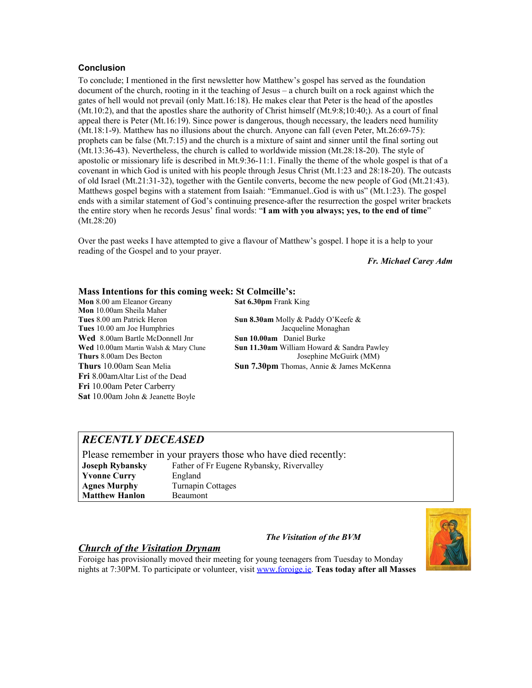#### **Conclusion**

To conclude; I mentioned in the first newsletter how Matthew's gospel has served as the foundation document of the church, rooting in it the teaching of Jesus – a church built on a rock against which the gates of hell would not prevail (only Matt.16:18). He makes clear that Peter is the head of the apostles (Mt.10:2), and that the apostles share the authority of Christ himself (Mt.9:8;10:40;). As a court of final appeal there is Peter (Mt.16:19). Since power is dangerous, though necessary, the leaders need humility (Mt.18:1-9). Matthew has no illusions about the church. Anyone can fall (even Peter, Mt.26:69-75): prophets can be false (Mt.7:15) and the church is a mixture of saint and sinner until the final sorting out (Mt.13:36-43). Nevertheless, the church is called to worldwide mission (Mt.28:18-20). The style of apostolic or missionary life is described in Mt.9:36-11:1. Finally the theme of the whole gospel is that of a covenant in which God is united with his people through Jesus Christ (Mt.1:23 and 28:18-20). The outcasts of old Israel (Mt.21:31-32), together with the Gentile converts, become the new people of God (Mt.21:43). Matthews gospel begins with a statement from Isaiah: "Emmanuel..God is with us" (Mt.1:23). The gospel ends with a similar statement of God's continuing presence-after the resurrection the gospel writer brackets the entire story when he records Jesus' final words: "**I am with you always; yes, to the end of time**" (Mt.28:20)

Over the past weeks I have attempted to give a flavour of Matthew's gospel. I hope it is a help to your reading of the Gospel and to your prayer.

*Fr. Michael Carey Adm*

# **Mass Intentions for this coming week: St Colmcille's:**<br>Mon 8.00 am Eleanor Greany **Sat 6.30pm** Frank King

**Mon** 8.00 am Eleanor Greany **Mon** 10.00am Sheila Maher<br>**Tues** 8.00 am Patrick Heron **Tues** 10.00 am Joe HumphriesJacqueline Monaghan **Wed** 8.00am Bartle McDonnell Jnr **Sun 10.00am** Daniel Burke<br> **Wed** 10.00am Martin Walsh & Mary Clune **Sun 11.30am** William Howar **Fri** 8.00amAltar List of the Dead **Fri** 10.00am Peter Carberry **Sat** 10.00am John & Jeanette Boyle

**Sun 8.30am** Molly & Paddy O'Keefe & **Sun 11.30am** William Howard & Sandra Pawley **Thurs** 8.00am Des Becton Josephine McGuirk (MM) **Thurs** 10.00am Sean Melia **Sun 7.30pm** Thomas, Annie & James McKenna

### *RECENTLY DECEASED*

Please remember in your prayers those who have died recently: **Joseph Rybansky** Father of Fr Eugene Rybansky, Rivervalley **Yvonne Curry** England **Agnes Murphy** Turnapin Cottages **Matthew Hanlon** Beaumont

*The Visitation of the BVM*



#### *Church of the Visitation Drynam*

Foroige has provisionally moved their meeting for young teenagers from Tuesday to Monday nights at 7:30PM. To participate or volunteer, visit [www.foroige.ie.](file:///C:/Documents and Settings/Parish PC/My Documents/Newsletter/Newsletter for website/2014/www.foroige.ie) **Teas today after all Masses**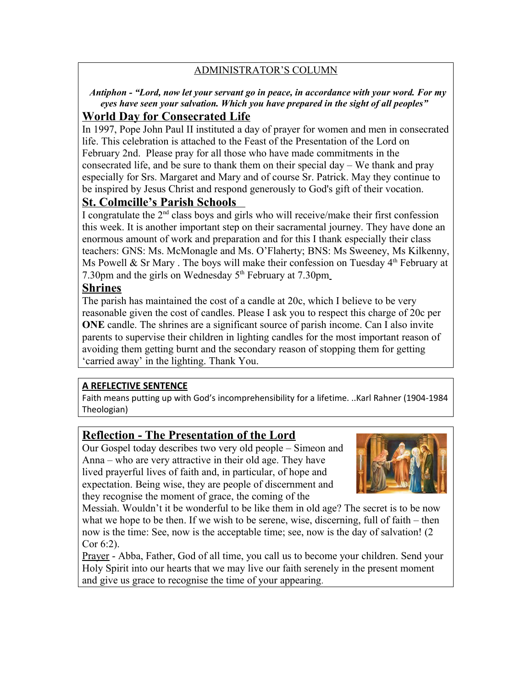## ADMINISTRATOR'S COLUMN

 *Antiphon - "Lord, now let your servant go in peace, in accordance with your word. For my eyes have seen your salvation. Which you have prepared in the sight of all peoples"* 

# **World Day for Consecrated Life**

In 1997, Pope John Paul II instituted a day of prayer for women and men in consecrated life. This celebration is attached to the Feast of the Presentation of the Lord on February 2nd. Please pray for all those who have made commitments in the consecrated life, and be sure to thank them on their special day – We thank and pray especially for Srs. Margaret and Mary and of course Sr. Patrick. May they continue to be inspired by Jesus Christ and respond generously to God's gift of their vocation.

# **St. Colmcille's Parish Schools**

I congratulate the  $2<sup>nd</sup>$  class boys and girls who will receive/make their first confession this week. It is another important step on their sacramental journey. They have done an enormous amount of work and preparation and for this I thank especially their class teachers: GNS: Ms. McMonagle and Ms. O'Flaherty; BNS: Ms Sweeney, Ms Kilkenny, Ms Powell & Sr Mary . The boys will make their confession on Tuesday  $4<sup>th</sup>$  February at 7.30pm and the girls on Wednesday 5<sup>th</sup> February at 7.30pm

### **Shrines**

The parish has maintained the cost of a candle at 20c, which I believe to be very reasonable given the cost of candles. Please I ask you to respect this charge of 20c per **ONE** candle. The shrines are a significant source of parish income. Can I also invite parents to supervise their children in lighting candles for the most important reason of avoiding them getting burnt and the secondary reason of stopping them for getting 'carried away' in the lighting. Thank You.

### **A REFLECTIVE SENTENCE**

Faith means putting up with God's incomprehensibility for a lifetime. ..Karl Rahner (1904-1984 Theologian)

## **Reflection - The Presentation of the Lord**

Our Gospel today describes two very old people – Simeon and Anna – who are very attractive in their old age. They have lived prayerful lives of faith and, in particular, of hope and expectation. Being wise, they are people of discernment and they recognise the moment of grace, the coming of the



Messiah. Wouldn't it be wonderful to be like them in old age? The secret is to be now what we hope to be then. If we wish to be serene, wise, discerning, full of faith – then now is the time: See, now is the acceptable time; see, now is the day of salvation! (2 Cor 6:2).

Prayer - Abba, Father, God of all time, you call us to become your children. Send your Holy Spirit into our hearts that we may live our faith serenely in the present moment and give us grace to recognise the time of your appearing.